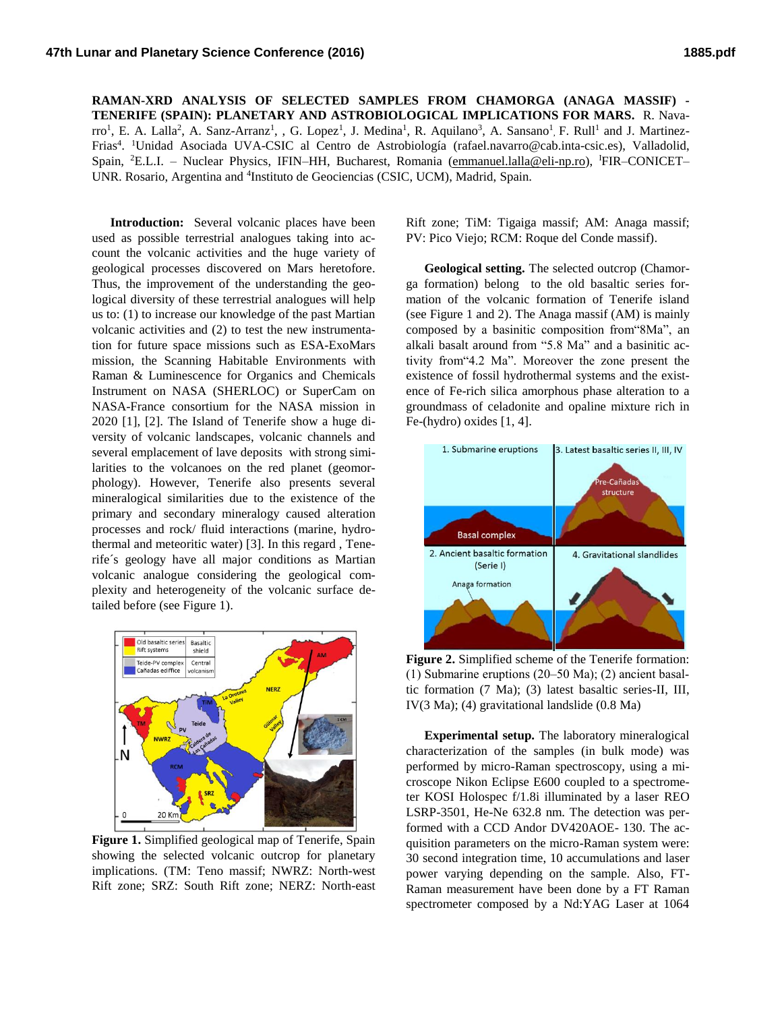**RAMAN-XRD ANALYSIS OF SELECTED SAMPLES FROM CHAMORGA (ANAGA MASSIF) - TENERIFE (SPAIN): PLANETARY AND ASTROBIOLOGICAL IMPLICATIONS FOR MARS.** R. Navarro<sup>1</sup>, E. A. Lalla<sup>2</sup>, A. Sanz-Arranz<sup>1</sup>, , G. Lopez<sup>1</sup>, J. Medina<sup>1</sup>, R. Aquilano<sup>3</sup>, A. Sansano<sup>1</sup>, F. Rull<sup>1</sup> and J. Martinez-Frias<sup>4</sup>. <sup>1</sup>Unidad Asociada UVA-CSIC al Centro de Astrobiología (rafael.navarro@cab.inta-csic.es), Valladolid, Spain, <sup>2</sup>E.L.I. – Nuclear Physics, IFIN–HH, Bucharest, Romania [\(emmanuel.lalla@eli-np.ro\)](mailto:emmanuel.lalla@eli-np.ro), <sup>I</sup>FIR–CONICET– UNR. Rosario, Argentina and <sup>4</sup>Instituto de Geociencias (CSIC, UCM), Madrid, Spain.

**Introduction:** Several volcanic places have been used as possible terrestrial analogues taking into account the volcanic activities and the huge variety of geological processes discovered on Mars heretofore. Thus, the improvement of the understanding the geological diversity of these terrestrial analogues will help us to: (1) to increase our knowledge of the past Martian volcanic activities and (2) to test the new instrumentation for future space missions such as ESA-ExoMars mission, the Scanning Habitable Environments with Raman & Luminescence for Organics and Chemicals Instrument on NASA (SHERLOC) or SuperCam on NASA-France consortium for the NASA mission in 2020 [1], [2]. The Island of Tenerife show a huge diversity of volcanic landscapes, volcanic channels and several emplacement of lave deposits with strong similarities to the volcanoes on the red planet (geomorphology). However, Tenerife also presents several mineralogical similarities due to the existence of the primary and secondary mineralogy caused alteration processes and rock/ fluid interactions (marine, hydrothermal and meteoritic water) [3]. In this regard , Tenerife´s geology have all major conditions as Martian volcanic analogue considering the geological complexity and heterogeneity of the volcanic surface detailed before (see Figure 1).



**Figure 1.** Simplified geological map of Tenerife, Spain showing the selected volcanic outcrop for planetary implications. (TM: Teno massif; NWRZ: North-west Rift zone; SRZ: South Rift zone; NERZ: North-east

Rift zone; TiM: Tigaiga massif; AM: Anaga massif; PV: Pico Viejo; RCM: Roque del Conde massif).

**Geological setting.** The selected outcrop (Chamorga formation) belong to the old basaltic series formation of the volcanic formation of Tenerife island (see Figure 1 and 2). The Anaga massif (AM) is mainly composed by a basinitic composition from"8Ma", an alkali basalt around from "5.8 Ma" and a basinitic activity from"4.2 Ma". Moreover the zone present the existence of fossil hydrothermal systems and the existence of Fe-rich silica amorphous phase alteration to a groundmass of celadonite and opaline mixture rich in Fe-(hydro) oxides [1, 4].



**Figure 2.** Simplified scheme of the Tenerife formation: (1) Submarine eruptions (20‒50 Ma); (2) ancient basaltic formation (7 Ma); (3) latest basaltic series-II, III, IV(3 Ma); (4) gravitational landslide (0.8 Ma)

**Experimental setup.** The laboratory mineralogical characterization of the samples (in bulk mode) was performed by micro-Raman spectroscopy, using a microscope Nikon Eclipse E600 coupled to a spectrometer KOSI Holospec f/1.8i illuminated by a laser REO LSRP-3501, He-Ne 632.8 nm. The detection was performed with a CCD Andor DV420AOE- 130. The acquisition parameters on the micro-Raman system were: 30 second integration time, 10 accumulations and laser power varying depending on the sample. Also, FT-Raman measurement have been done by a FT Raman spectrometer composed by a Nd:YAG Laser at 1064